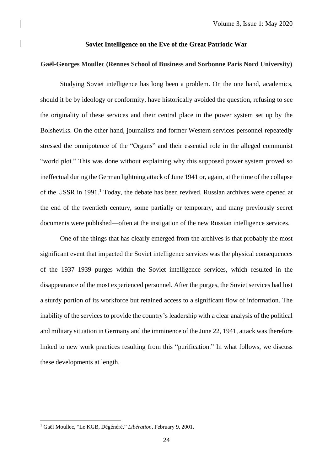#### **Soviet Intelligence on the Eve of the Great Patriotic War**

## **Gaël-Georges Moullec (Rennes School of Business and Sorbonne Paris Nord University)**

Studying Soviet intelligence has long been a problem. On the one hand, academics, should it be by ideology or conformity, have historically avoided the question, refusing to see the originality of these services and their central place in the power system set up by the Bolsheviks. On the other hand, journalists and former Western services personnel repeatedly stressed the omnipotence of the "Organs" and their essential role in the alleged communist "world plot." This was done without explaining why this supposed power system proved so ineffectual during the German lightning attack of June 1941 or, again, at the time of the collapse of the USSR in 1991. <sup>1</sup> Today, the debate has been revived. Russian archives were opened at the end of the twentieth century, some partially or temporary, and many previously secret documents were published—often at the instigation of the new Russian intelligence services.

One of the things that has clearly emerged from the archives is that probably the most significant event that impacted the Soviet intelligence services was the physical consequences of the 1937–1939 purges within the Soviet intelligence services, which resulted in the disappearance of the most experienced personnel. After the purges, the Soviet services had lost a sturdy portion of its workforce but retained access to a significant flow of information. The inability of the services to provide the country's leadership with a clear analysis of the political and military situation in Germany and the imminence of the June 22, 1941, attack was therefore linked to new work practices resulting from this "purification." In what follows, we discuss these developments at length.

<sup>1</sup> Gaël Moullec, "Le KGB, Dégénéré," *Libération*, February 9, 2001.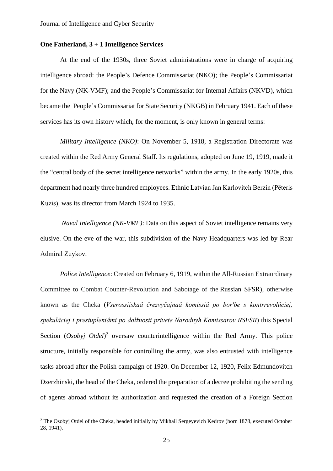# **One Fatherland, 3 + 1 Intelligence Services**

At the end of the 1930s, three Soviet administrations were in charge of acquiring intelligence abroad: the People's Defence Commissariat (NKO); the People's Commissariat for the Navy (NK-VMF); and the People's Commissariat for Internal Affairs (NKVD), which became the People's Commissariat for State Security (NKGB) in February 1941. Each of these services has its own history which, for the moment, is only known in general terms:

*Military Intelligence (NKO)*: On November 5, 1918, a Registration Directorate was created within the Red Army General Staff. Its regulations, adopted on June 19, 1919, made it the "central body of the secret intelligence networks" within the army. In the early 1920s, this department had nearly three hundred employees. Ethnic Latvian Jan Karlovitch Berzin (Pēteris Ķuzis), was its director from March 1924 to 1935.

*Naval Intelligence (NK-VMF)*: Data on this aspect of Soviet intelligence remains very elusive. On the eve of the war, this subdivision of the Navy Headquarters was led by Rear Admiral Zuykov.

*Police Intelligence*: Created on February 6, 1919, within the All-Russian Extraordinary Committee to Combat Counter-Revolution and Sabotage of the [Russian SFSR\)](https://en.wikipedia.org/wiki/Russian_SFSR), otherwise known as the Cheka (*Vserossijskaâ črezvyčajnaâ komissiâ po borʹbe s kontrrevolûciej, spekulâciej i prestupleniâmi po dolžnosti privete Narodnyh Komissarov RSFSR*) this Special Section (Osobyj Otdel)<sup>2</sup> oversaw counterintelligence within the Red Army. This police structure, initially responsible for controlling the army, was also entrusted with intelligence tasks abroad after the Polish campaign of 1920. On December 12, 1920, Felix Edmundovitch Dzerzhinski, the head of the Cheka, ordered the preparation of a decree prohibiting the sending of agents abroad without its authorization and requested the creation of a Foreign Section

<sup>&</sup>lt;sup>2</sup> The Osobyj Otdel of the Cheka, headed initially by Mikhail Sergeyevich Kedrov (born 1878, executed October 28, 1941).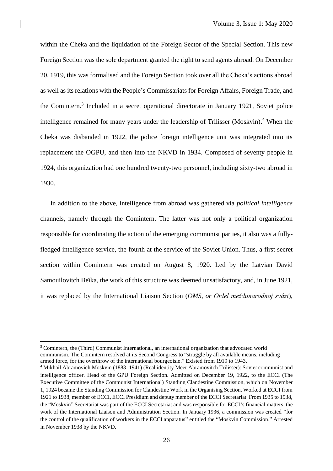within the Cheka and the liquidation of the Foreign Sector of the Special Section. This new Foreign Section was the sole department granted the right to send agents abroad. On December 20, 1919, this was formalised and the Foreign Section took over all the Cheka's actions abroad as well as its relations with the People's Commissariats for Foreign Affairs, Foreign Trade, and the Comintern. 3 Included in a secret operational directorate in January 1921, Soviet police intelligence remained for many years under the leadership of Trilisser (Moskvin). <sup>4</sup> When the Cheka was disbanded in 1922, the police foreign intelligence unit was integrated into its replacement the OGPU, and then into the NKVD in 1934. Composed of seventy people in 1924, this organization had one hundred twenty-two personnel, including sixty-two abroad in 1930.

In addition to the above, intelligence from abroad was gathered via *political intelligence*  channels, namely through the Comintern. The latter was not only a political organization responsible for coordinating the action of the emerging communist parties, it also was a fullyfledged intelligence service, the fourth at the service of the Soviet Union. Thus, a first secret section within Comintern was created on August 8, 1920. Led by the Latvian David Samouilovitch Beïka, the work of this structure was deemed unsatisfactory, and, in June 1921, it was replaced by the International Liaison Section (*OMS, or Otdel meždunarodnoj svâzi*),

<sup>&</sup>lt;sup>3</sup> Comintern, the (Third) Communist International, an international organization that advocated world communism. The Comintern resolved at its Second Congress to "struggle by all available means, including armed force, for the overthrow of the international bourgeoisie." Existed from 1919 to 1943.

<sup>4</sup> Mikhail Abramovich Moskvin (1883–1941) (Real identity Meer Abramovitch Trilisser): Soviet communist and intelligence officer. Head of the GPU Foreign Section. Admitted on December 19, 1922, to the ECCI (The Executive Committee of the Communist International) Standing Clandestine Commission, which on November 1, 1924 became the Standing Commission for Clandestine Work in the Organising Section. Worked at ECCI from 1921 to 1938, member of ECCI, ECCI Presidium and deputy member of the ECCI Secretariat. From 1935 to 1938, the "Moskvin" Secretariat was part of the ECCI Secretariat and was responsible for ECCI's financial matters, the work of the International Liaison and Administration Section. In January 1936, a commission was created "for the control of the qualification of workers in the ECCI apparatus" entitled the "Moskvin Commission." Arrested in November 1938 by the NKVD.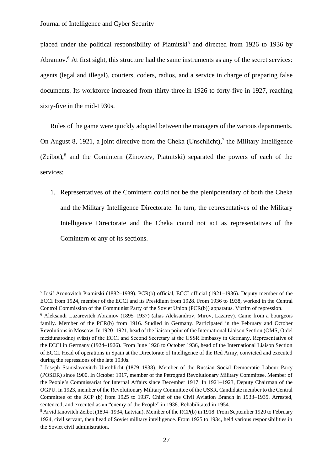placed under the political responsibility of Piatnitski<sup>5</sup> and directed from 1926 to 1936 by Abramov.<sup>6</sup> At first sight, this structure had the same instruments as any of the secret services: agents (legal and illegal), couriers, coders, radios, and a service in charge of preparing false documents. Its workforce increased from thirty-three in 1926 to forty-five in 1927, reaching sixty-five in the mid-1930s.

Rules of the game were quickly adopted between the managers of the various departments. On August 8, 1921, a joint directive from the Cheka (Unschlicht), $^7$  the Military Intelligence (Zeibot), 8 and the Comintern (Zinoviev, Piatnitski) separated the powers of each of the services:

1. Representatives of the Comintern could not be the plenipotentiary of both the Cheka and the Military Intelligence Directorate. In turn, the representatives of the Military Intelligence Directorate and the Cheka cound not act as representatives of the Comintern or any of its sections.

<sup>&</sup>lt;sup>5</sup> Iosif Aronovitch Piatnitski (1882–1939). PCR(b) official, ECCI official (1921–1936). Deputy member of the ECCI from 1924, member of the ECCI and its Presidium from 1928. From 1936 to 1938, worked in the Central Control Commission of the Communist Party of the Soviet Union (PCR(b)) apparatus. Victim of repression.

<sup>6</sup> Aleksandr Lazarevitch Abramov (1895–1937) (alias Aleksandrov, Mirov, Lazarev). Came from a bourgeois family. Member of the PCR(b) from 1916. Studied in Germany. Participated in the February and October Revolutions in Moscow. In 1920–1921, head of the liaison point of the International Liaison Section (OMS, Otdel meždunarodnoj svâzi) of the ECCI and Second Secretary at the USSR Embassy in Germany. Representative of the ECCI in Germany (1924–1926). From June 1926 to October 1936, head of the International Liaison Section of ECCI. Head of operations in Spain at the Directorate of Intelligence of the Red Army, convicted and executed during the repressions of the late 1930s.

<sup>7</sup> Joseph Stanislavovitch Unschlicht (1879–1938). Member of the Russian Social Democratic Labour Party (POSDR) since 1900. In October 1917, member of the Petrograd Revolutionary Military Committee. Member of the People's Commissariat for Internal Affairs since December 1917. In 1921–1923, Deputy Chairman of the OGPU. In 1923, member of the Revolutionary Military Committee of the USSR. Candidate member to the Central Committee of the RCP (b) from 1925 to 1937. Chief of the Civil Aviation Branch in 1933–1935. Arrested, sentenced, and executed as an "enemy of the People" in 1938. Rehabilitated in 1954.

<sup>8</sup> Arvid Ianovitch Zeibot (1894–1934, Latvian). Member of the RCP(b) in 1918. From September 1920 to February 1924, civil servant, then head of Soviet military intelligence. From 1925 to 1934, held various responsibilities in the Soviet civil administration.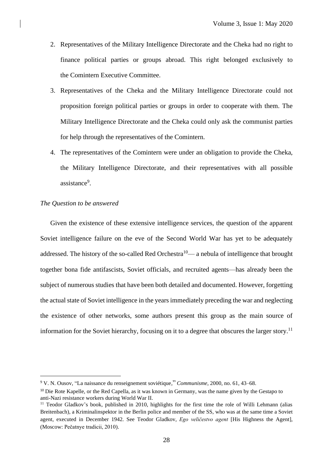- 2. Representatives of the Military Intelligence Directorate and the Cheka had no right to finance political parties or groups abroad. This right belonged exclusively to the Comintern Executive Committee.
- 3. Representatives of the Cheka and the Military Intelligence Directorate could not proposition foreign political parties or groups in order to cooperate with them. The Military Intelligence Directorate and the Cheka could only ask the communist parties for help through the representatives of the Comintern.
- 4. The representatives of the Comintern were under an obligation to provide the Cheka, the Military Intelligence Directorate, and their representatives with all possible assistance<sup>9</sup>.

#### *The Question to be answered*

Given the existence of these extensive intelligence services, the question of the apparent Soviet intelligence failure on the eve of the Second World War has yet to be adequately addressed. The history of the so-called Red Orchestra<sup>10</sup>— a nebula of intelligence that brought together bona fide antifascists, Soviet officials, and recruited agents—has already been the subject of numerous studies that have been both detailed and documented. However, forgetting the actual state of Soviet intelligence in the years immediately preceding the war and neglecting the existence of other networks, some authors present this group as the main source of information for the Soviet hierarchy, focusing on it to a degree that obscures the larger story.<sup>11</sup>

<sup>9</sup> V. N. Ousov, "La naissance du renseignement soviétique," *Communisme*, 2000, no. 61, 43–68.

<sup>&</sup>lt;sup>10</sup> Die Rote Kapelle, or the Red Capella, as it was known in Germany, was the name given by the Gestapo to anti-Nazi resistance workers during World War II.

<sup>&</sup>lt;sup>11</sup> Teodor Gladkov's book, published in 2010, highlights for the first time the role of Willi Lehmann (alias Breitenbach), a Kriminalinspektor in the Berlin police and member of the SS, who was at the same time a Soviet agent, executed in December 1942. See Teodor Gladkov, *Ego veličestvo agent* [His Highness the Agent], (Moscow: Pečatnye tradicii, 2010).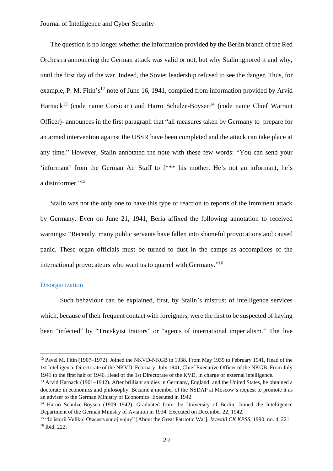The question is no longer whether the information provided by the Berlin branch of the Red Orchestra announcing the German attack was valid or not, but why Stalin ignored it and why, until the first day of the war. Indeed, the Soviet leadership refused to see the danger. Thus, for example, P. M. Fitin's<sup>12</sup> note of June 16, 1941, compiled from information provided by Arvid Harnack<sup>13</sup> (code name Corsican) and Harro Schulze-Boysen<sup>14</sup> (code name Chief Warrant Officer)- announces in the first paragraph that "all measures taken by Germany to prepare for an armed intervention against the USSR have been completed and the attack can take place at any time." However, Stalin annotated the note with these few words: "You can send your 'informant' from the German Air Staff to f\*\*\* his mother. He's not an informant, he's a disinformer."<sup>15</sup>

Stalin was not the only one to have this type of reaction to reports of the imminent attack by Germany. Even on June 21, 1941, Beria affixed the following annotation to received warnings: "Recently, many public servants have fallen into shameful provocations and caused panic. These organ officials must be turned to dust in the camps as accomplices of the international provocateurs who want us to quarrel with Germany."<sup>16</sup>

## Disorganization

Such behaviour can be explained, first, by Stalin's mistrust of intelligence services which, because of their frequent contact with foreigners, were the first to be suspected of having been "infected" by "Trotskyist traitors" or "agents of international imperialism." The five

<sup>&</sup>lt;sup>12</sup> Pavel M. Fitin (1907–1972). Joined the NKVD-NKGB in 1938. From May 1939 to February 1941, Head of the 1st Intelligence Directorate of the NKVD. February–July 1941, Chief Executive Officer of the NKGB. From July 1941 to the first half of 1946, Head of the 1st Directorate of the KVD, in charge of external intelligence.

<sup>&</sup>lt;sup>13</sup> Arvid Harnack (1901–1942). After brilliant studies in Germany, England, and the United States, he obtained a doctorate in economics and philosophy. Became a member of the NSDAP at Moscow's request to promote it as an adviser to the German Ministry of Economics. Executed in 1942.

<sup>&</sup>lt;sup>14</sup> Harno Schulze-Boysen (1909–1942). Graduated from the University of Berlin. Joined the Intelligence Department of the German Ministry of Aviation in 1934. Executed on December 22, 1942.

<sup>&</sup>lt;sup>15</sup> "Iz istorii Velikoj Otečestvennoj vojny" [About the Great Patriotic War], *Izvestiâ CK KPSS*, 1990, no. 4, 221. <sup>16</sup> Ibid, 222.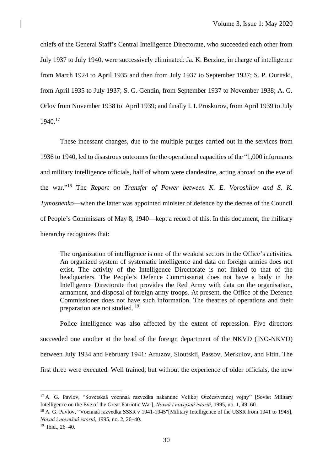chiefs of the General Staff's Central Intelligence Directorate, who succeeded each other from July 1937 to July 1940, were successively eliminated: Ja. K. Berzine, in charge of intelligence from March 1924 to April 1935 and then from July 1937 to September 1937; S. P. Ouritski, from April 1935 to July 1937; S. G. Gendin, from September 1937 to November 1938; A. G. Orlov from November 1938 to April 1939; and finally I. I. Proskurov, from April 1939 to July 1940. 17

These incessant changes, due to the multiple purges carried out in the services from 1936 to 1940, led to disastrous outcomes for the operational capacities of the "1,000 informants and military intelligence officials, half of whom were clandestine, acting abroad on the eve of the war." <sup>18</sup> The *Report on Transfer of Power between K. E. Voroshilov and S. K. Tymoshenko*—when the latter was appointed minister of defence by the decree of the Council of People's Commissars of May 8, 1940—kept a record of this. In this document, the military hierarchy recognizes that:

The organization of intelligence is one of the weakest sectors in the Office's activities. An organized system of systematic intelligence and data on foreign armies does not exist. The activity of the Intelligence Directorate is not linked to that of the headquarters. The People's Defence Commissariat does not have a body in the Intelligence Directorate that provides the Red Army with data on the organisation, armament, and disposal of foreign army troops. At present, the Office of the Defence Commissioner does not have such information. The theatres of operations and their preparation are not studied.<sup>19</sup>

Police intelligence was also affected by the extent of repression. Five directors succeeded one another at the head of the foreign department of the NKVD (INO-NKVD) between July 1934 and February 1941: Artuzov, Sloutskii, Passov, Merkulov, and Fitin. The first three were executed. Well trained, but without the experience of older officials, the new

<sup>17</sup> A. G. Pavlov, "Sovetskaâ voennaâ razvedka nakanune Velikoj Otečestvennoj vojny" [Soviet Military Intelligence on the Eve of the Great Patriotic War], *Novaâ i novejšaâ istoriâ*, 1995, no. 1, 49–60.

<sup>&</sup>lt;sup>18</sup> A. G. Pavlov, "Voennaâ razvedka SSSR v 1941-1945"[Military Intelligence of the USSR from 1941 to 1945], *Novaâ i novejšaâ istoriâ*, 1995, no. 2, 26–40.

<sup>19</sup> Ibid., 26–40.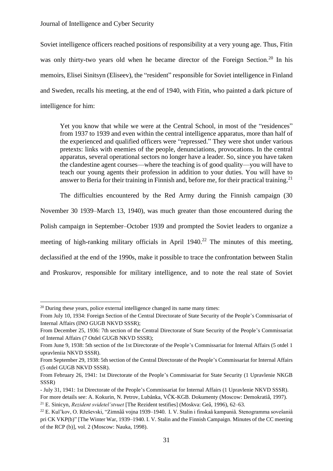Soviet intelligence officers reached positions of responsibility at a very young age. Thus, Fitin was only thirty-two years old when he became director of the Foreign Section.<sup>20</sup> In his memoirs, Elisei Sinitsyn (Eliseev), the "resident" responsible for Soviet intelligence in Finland and Sweden, recalls his meeting, at the end of 1940, with Fitin, who painted a dark picture of intelligence for him:

Yet you know that while we were at the Central School, in most of the "residences" from 1937 to 1939 and even within the central intelligence apparatus, more than half of the experienced and qualified officers were "repressed." They were shot under various pretexts: links with enemies of the people, denunciations, provocations. In the central apparatus, several operational sectors no longer have a leader. So, since you have taken the clandestine agent courses—where the teaching is of good quality—you will have to teach our young agents their profession in addition to your duties. You will have to answer to Beria for their training in Finnish and, before me, for their practical training.<sup>21</sup>

The difficulties encountered by the Red Army during the Finnish campaign (30

November 30 1939–March 13, 1940), was much greater than those encountered during the

Polish campaign in September–October 1939 and prompted the Soviet leaders to organize a

meeting of high-ranking military officials in April  $1940$ <sup>22</sup> The minutes of this meeting,

declassified at the end of the 1990s, make it possible to trace the confrontation between Stalin

and Proskurov, responsible for military intelligence, and to note the real state of Soviet

<sup>&</sup>lt;sup>20</sup> During these years, police external intelligence changed its name many times:

From July 10, 1934: Foreign Section of the Central Directorate of State Security of the People's Commissariat of Internal Affairs (INO GUGB NKVD SSSR);

From December 25, 1936: 7th section of the Central Directorate of State Security of the People's Commissariat of Internal Affairs (7 Otdel GUGB NKVD SSSR);

From June 9, 1938: 5th section of the 1st Directorate of the People's Commissariat for Internal Affairs (5 otdel 1 upravleniia NKVD SSSR).

From September 29, 1938: 5th section of the Central Directorate of the People's Commissariat for Internal Affairs (5 otdel GUGB NKVD SSSR).

From February 26, 1941: 1st Directorate of the People's Commissariat for State Security (1 Upravlenie NKGB SSSR)

<sup>-</sup> July 31, 1941: 1st Directorate of the People's Commissariat for Internal Affairs (1 Upravlenie NKVD SSSR).

For more details see: A. Kokurin, N. Petrov, Lubânka, VČK-KGB. Dokumenty (Moscow: Demokratiâ, 1997).

<sup>21</sup> E. Sinicyn, *Rezident svidetel'stvuet* [The Rezident testifies] (Moskva: Geâ, 1996), 62–63.

<sup>22</sup> E. Kul'kov, O. Ržeševski, "Zimnââ vojna 1939–1940. I. V. Stalin i finskaâ kampaniâ. Stenogramma soveŝaniâ pri CK VKP(b)" [The Winter War, 1939–1940. I. V. Stalin and the Finnish Campaign. Minutes of the CC meeting of the RCP (b)], vol. 2 (Moscow: Nauka, 1998).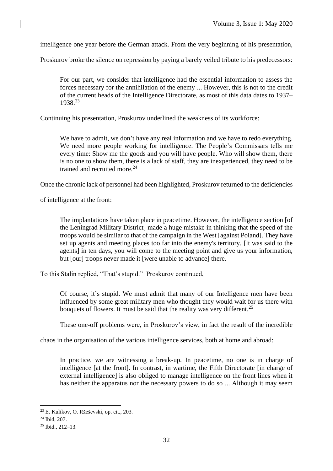intelligence one year before the German attack. From the very beginning of his presentation,

Proskurov broke the silence on repression by paying a barely veiled tribute to his predecessors:

For our part, we consider that intelligence had the essential information to assess the forces necessary for the annihilation of the enemy ... However, this is not to the credit of the current heads of the Intelligence Directorate, as most of this data dates to 1937– 1938. 23

Continuing his presentation, Proskurov underlined the weakness of its workforce:

We have to admit, we don't have any real information and we have to redo everything. We need more people working for intelligence. The People's Commissars tells me every time: Show me the goods and you will have people. Who will show them, there is no one to show them, there is a lack of staff, they are inexperienced, they need to be trained and recruited more. 24

Once the chronic lack of personnel had been highlighted, Proskurov returned to the deficiencies

of intelligence at the front:

The implantations have taken place in peacetime. However, the intelligence section [of the Leningrad Military District] made a huge mistake in thinking that the speed of the troops would be similar to that of the campaign in the West [against Poland]. They have set up agents and meeting places too far into the enemy's territory. [It was said to the agents] in ten days, you will come to the meeting point and give us your information, but [our] troops never made it [were unable to advance] there.

To this Stalin replied, "That's stupid." Proskurov continued,

Of course, it's stupid. We must admit that many of our Intelligence men have been influenced by some great military men who thought they would wait for us there with bouquets of flowers. It must be said that the reality was very different.<sup>25</sup>

These one-off problems were, in Proskurov's view, in fact the result of the incredible

chaos in the organisation of the various intelligence services, both at home and abroad:

In practice, we are witnessing a break-up. In peacetime, no one is in charge of intelligence [at the front]. In contrast, in wartime, the Fifth Directorate [in charge of external intelligence] is also obliged to manage intelligence on the front lines when it has neither the apparatus nor the necessary powers to do so ... Although it may seem

<sup>23</sup> E. Kulikov, O. Ržeševski, op. cit., 203.

<sup>24</sup> Ibid, 207.

<sup>25</sup> Ibid., 212–13.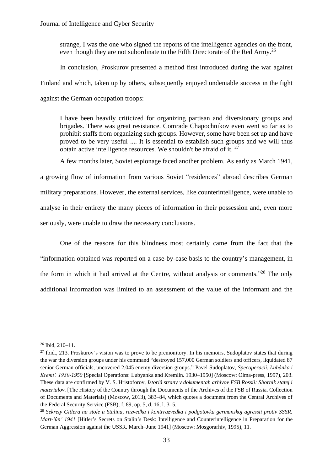strange, I was the one who signed the reports of the intelligence agencies on the front, even though they are not subordinate to the Fifth Directorate of the Red Army.<sup>26</sup>

In conclusion, Proskurov presented a method first introduced during the war against Finland and which, taken up by others, subsequently enjoyed undeniable success in the fight against the German occupation troops:

I have been heavily criticized for organizing partisan and diversionary groups and brigades. There was great resistance. Comrade Chapochnikov even went so far as to prohibit staffs from organizing such groups. However, some have been set up and have proved to be very useful .... It is essential to establish such groups and we will thus obtain active intelligence resources. We shouldn't be afraid of it.  $27$ 

A few months later, Soviet espionage faced another problem. As early as March 1941,

a growing flow of information from various Soviet "residences" abroad describes German military preparations. However, the external services, like counterintelligence, were unable to analyse in their entirety the many pieces of information in their possession and, even more seriously, were unable to draw the necessary conclusions.

One of the reasons for this blindness most certainly came from the fact that the "information obtained was reported on a case-by-case basis to the country's management, in the form in which it had arrived at the Centre, without analysis or comments."<sup>28</sup> The only additional information was limited to an assessment of the value of the informant and the

<sup>26</sup> Ibid, 210–11.

 $27$  Ibid., 213. Proskurov's vision was to prove to be premonitory. In his memoirs, Sudoplatov states that during the war the diversion groups under his command "destroyed 157,000 German soldiers and officers, liquidated 87 senior German officials, uncovered 2,045 enemy diversion groups." Pavel Sudoplatov, *Specoperacii. Lubânka i Kremlʹ. 1930-1950* [Special Operations: Lubyanka and Kremlin. 1930–1950] (Moscow: Olma-press, 1997), 203. These data are confirmed by V. S. Hristoforov, *Istoriâ strany v dokumentah arhivov FSB Rossii: Sbornik statej i materialov*. [The History of the Country through the Documents of the Archives of the FSB of Russia. Collection of Documents and Materials] (Мoscow, 2013), 383–84, which quotes a document from the Central Archives of the Federal Security Service (FSB), f. 89, op. 5, d. 16, l. 3–5.

<sup>28</sup> *Sekrety Gitlera na stole u Stalina, razvedka i kontrrazvedka i podgotovka germanskoj agressii protiv SSSR. Mart-iûn' 1941* [Hitler's Secrets on Stalin's Desk: Intelligence and Counterintelligence in Preparation for the German Aggression against the USSR. March–June 1941] (Moscow: Mosgorarhiv, 1995), 11.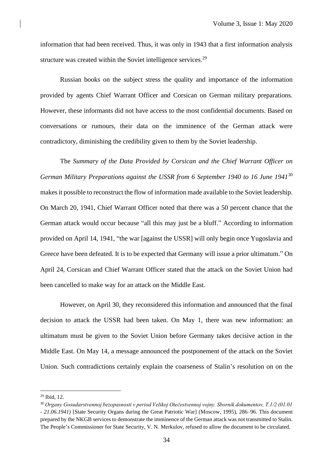information that had been received. Thus, it was only in 1943 that a first information analysis structure was created within the Soviet intelligence services.<sup>29</sup>

Russian books on the subject stress the quality and importance of the information provided by agents Chief Warrant Officer and Corsican on German military preparations. However, these informants did not have access to the most confidential documents. Based on conversations or rumours, their data on the imminence of the German attack were contradictory, diminishing the credibility given to them by the Soviet leadership.

The *Summary of the Data Provided by Corsican and the Chief Warrant Officer on German Military Preparations against the USSR from 6 September 1940 to 16 June 1941*<sup>30</sup> makesit possible to reconstruct the flow of information made available to the Soviet leadership. On March 20, 1941, Chief Warrant Officer noted that there was a 50 percent chance that the German attack would occur because "all this may just be a bluff." According to information provided on April 14, 1941, "the war [against the USSR] will only begin once Yugoslavia and Greece have been defeated. It is to be expected that Germany will issue a prior ultimatum." On April 24, Corsican and Chief Warrant Officer stated that the attack on the Soviet Union had been cancelled to make way for an attack on the Middle East.

However, on April 30, they reconsidered this information and announced that the final decision to attack the USSR had been taken. On May 1, there was new information: an ultimatum must be given to the Soviet Union before Germany takes decisive action in the Middle East. On May 14, a message announced the postponement of the attack on the Soviet Union. Such contradictions certainly explain the coarseness of Stalin's resolution on on the

 $29$  Ibid, 12.

<sup>30</sup> *Organy Gosudarstvennoj bezopasnosti v period Velikoj Otečestvennoj vojny. Sbornik dokumentov, T.1/2 (01.01 - 21.06.1941)* [State Security Organs during the Great Patriotic War] (Moscow, 1995), 286–96. This document prepared by the NKGB services to demonstrate the imminence of the German attack was not transmitted to Stalin. The People's Commissioner for State Security, V. N. Merkulov, refused to allow the document to be circulated.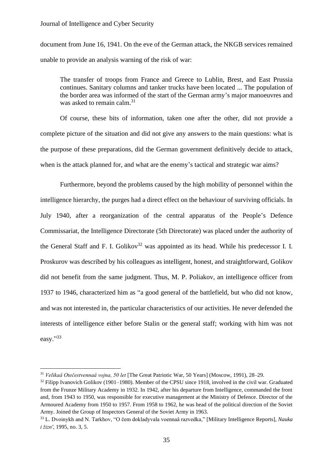document from June 16, 1941. On the eve of the German attack, the NKGB services remained unable to provide an analysis warning of the risk of war:

The transfer of troops from France and Greece to Lublin, Brest, and East Prussia continues. Sanitary columns and tanker trucks have been located ... The population of the border area was informed of the start of the German army's major manoeuvres and was asked to remain calm. 31

Of course, these bits of information, taken one after the other, did not provide a complete picture of the situation and did not give any answers to the main questions: what is the purpose of these preparations, did the German government definitively decide to attack, when is the attack planned for, and what are the enemy's tactical and strategic war aims?

Furthermore, beyond the problems caused by the high mobility of personnel within the intelligence hierarchy, the purges had a direct effect on the behaviour of surviving officials. In July 1940, after a reorganization of the central apparatus of the People's Defence Commissariat, the Intelligence Directorate (5th Directorate) was placed under the authority of the General Staff and F. I. Golikov<sup>32</sup> was appointed as its head. While his predecessor I. I. Proskurov was described by his colleagues as intelligent, honest, and straightforward, Golikov did not benefit from the same judgment. Thus, M. P. Poliakov, an intelligence officer from 1937 to 1946, characterized him as "a good general of the battlefield, but who did not know, and was not interested in, the particular characteristics of our activities. He never defended the interests of intelligence either before Stalin or the general staff; working with him was not easy."33

<sup>32</sup> Filipp Ivanovich Golikov (1901–1980). Member of the CPSU since 1918, involved in the civil war. Graduated from the Frunze Military Academy in 1932. In 1942, after his departure from Intelligence, commanded the front and, from 1943 to 1950, was responsible for executive management at the Ministry of Defence. Director of the Armoured Academy from 1950 to 1957. From 1958 to 1962, he was head of the political direction of the Soviet Army. Joined the Group of Inspectors General of the Soviet Army in 1963.

<sup>31</sup> *Velikaâ Otečestvennaâ vojna, 50 let* [The Great Patriotic War, 50 Years] (Moscow, 1991), 28–29.

<sup>33</sup> L. Dvoinykh and N. Tarkhov, "O čem dokladyvala voennaâ razvedka," [Military Intelligence Reports], *Nauka i žiznʹ*, 1995, no. 3, 5.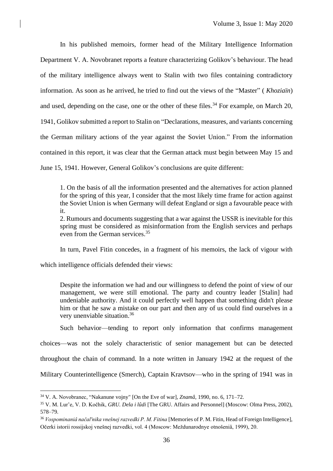In his published memoirs, former head of the Military Intelligence Information Department V. A. Novobranet reports a feature characterizing Golikov's behaviour. The head of the military intelligence always went to Stalin with two files containing contradictory information. As soon as he arrived, he tried to find out the views of the "Master" ( *Khoziaïn*) and used, depending on the case, one or the other of these files.<sup>34</sup> For example, on March 20, 1941, Golikov submitted a report to Stalin on "Declarations, measures, and variants concerning the German military actions of the year against the Soviet Union." From the information contained in this report, it was clear that the German attack must begin between May 15 and June 15, 1941. However, General Golikov's conclusions are quite different:

1. On the basis of all the information presented and the alternatives for action planned for the spring of this year, I consider that the most likely time frame for action against the Soviet Union is when Germany will defeat England or sign a favourable peace with it.

2. Rumours and documents suggesting that a war against the USSR is inevitable for this spring must be considered as misinformation from the English services and perhaps even from the German services. 35

In turn, Pavel Fitin concedes, in a fragment of his memoirs, the lack of vigour with

which intelligence officials defended their views:

Despite the information we had and our willingness to defend the point of view of our management, we were still emotional. The party and country leader [Stalin] had undeniable authority. And it could perfectly well happen that something didn't please him or that he saw a mistake on our part and then any of us could find ourselves in a very unenviable situation. 36

Such behavior—tending to report only information that confirms management choices—was not the solely characteristic of senior management but can be detected throughout the chain of command. In a note written in January 1942 at the request of the Military Counterintelligence (Smerch), Captain Kravtsov—who in the spring of 1941 was in

<sup>34</sup> V. A. Novobranec, "Nakanune vojny" [On the Eve of war], *Znamâ*, 1990, no. 6, 171–72.

<sup>35</sup> V. M. Lur'e, V. D. Kočhik, *GRU. Dela i lûdi* [The GRU. Affairs and Personnel] (Moscow: Olma Press, 2002), 578–79.

<sup>36</sup> *Vospominaniâ načalʹnika vnešnej razvedki P. M. Fitina* [Memories of P. M. Fitin, Head of Foreign Intelligence], Očerki istorii rossijskoj vnešnej razvedki, vol. 4 (Moscow: Meždunarodnye otnošeniâ, 1999), 20.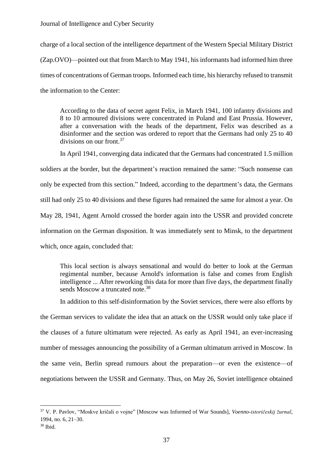Journal of Intelligence and Cyber Security

charge of a local section of the intelligence department of the Western Special Military District (Zap.OVO)—pointed out that from March to May 1941, his informants had informed him three times of concentrations of German troops. Informed each time, his hierarchy refused to transmit the information to the Center:

According to the data of secret agent Felix, in March 1941, 100 infantry divisions and 8 to 10 armoured divisions were concentrated in Poland and East Prussia. However, after a conversation with the heads of the department, Felix was described as a disinformer and the section was ordered to report that the Germans had only 25 to 40 divisions on our front.<sup>37</sup>

In April 1941, converging data indicated that the Germans had concentrated 1.5 million soldiers at the border, but the department's reaction remained the same: "Such nonsense can only be expected from this section." Indeed, according to the department's data, the Germans still had only 25 to 40 divisions and these figures had remained the same for almost a year. On May 28, 1941, Agent Arnold crossed the border again into the USSR and provided concrete information on the German disposition. It was immediately sent to Minsk, to the department which, once again, concluded that:

This local section is always sensational and would do better to look at the German regimental number, because Arnold's information is false and comes from English intelligence ... After reworking this data for more than five days, the department finally sends Moscow a truncated note.<sup>38</sup>

In addition to this self-disinformation by the Soviet services, there were also efforts by the German services to validate the idea that an attack on the USSR would only take place if the clauses of a future ultimatum were rejected. As early as April 1941, an ever-increasing number of messages announcing the possibility of a German ultimatum arrived in Moscow. In the same vein, Berlin spread rumours about the preparation—or even the existence—of negotiations between the USSR and Germany. Thus, on May 26, Soviet intelligence obtained

<sup>37</sup> V. P. Pavlov, "Moskve kričali o vojne" [Moscow was Informed of War Sounds], *Voenno-istoričeskij žurnal*, 1994, no. 6, 21–30.

<sup>38</sup> Ibid.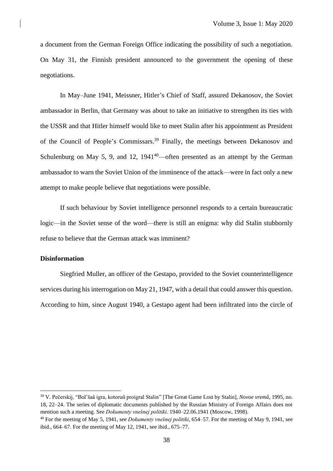a document from the German Foreign Office indicating the possibility of such a negotiation. On May 31, the Finnish president announced to the government the opening of these negotiations.

In May–June 1941, Meissner, Hitler's Chief of Staff, assured Dekanosov, the Soviet ambassador in Berlin, that Germany was about to take an initiative to strengthen its ties with the USSR and that Hitler himself would like to meet Stalin after his appointment as President of the Council of People's Commissars. <sup>39</sup> Finally, the meetings between Dekanosov and Schulenburg on May 5, 9, and 12,  $1941^{40}$ —often presented as an attempt by the German ambassador to warn the Soviet Union of the imminence of the attack—were in fact only a new attempt to make people believe that negotiations were possible.

If such behaviour by Soviet intelligence personnel responds to a certain bureaucratic logic—in the Soviet sense of the word—there is still an enigma: why did Stalin stubbornly refuse to believe that the German attack was imminent?

## **Disinformation**

Siegfried Muller, an officer of the Gestapo, provided to the Soviet counterintelligence services during his interrogation on May 21, 1947, with a detail that could answer this question. According to him, since August 1940, a Gestapo agent had been infiltrated into the circle of

<sup>39</sup> V. Pečerskij, "Bol'šaâ igra, kotoruû proigral Stalin" [The Great Game Lost by Stalin], *Novoe vremâ*, 1995, no. 18, 22–24. The series of diplomatic documents published by the Russian Ministry of Foreign Affairs does not mention such a meeting. See *Dokumenty vnešnej politiki*. 1940–22.06.1941 (Moscow, 1998).

<sup>40</sup> For the meeting of May 5, 1941, see *Dokumenty vnešnej politiki*, 654–57. For the meeting of May 9, 1941, see ibid., 664–67. For the meeting of May 12, 1941, see ibid., 675–77.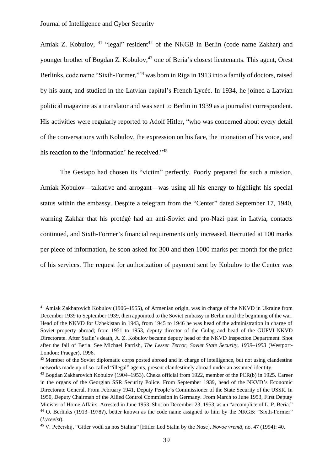Amiak Z. Kobulov,  $41$  "legal" resident $42$  of the NKGB in Berlin (code name Zakhar) and younger brother of Bogdan Z. Kobulov,<sup>43</sup> one of Beria's closest lieutenants. This agent, Orest Berlinks, code name "Sixth-Former,"<sup>44</sup> was born in Riga in 1913 into a family of doctors, raised by his aunt, and studied in the Latvian capital's French Lycée. In 1934, he joined a Latvian political magazine as a translator and was sent to Berlin in 1939 as a journalist correspondent. His activities were regularly reported to Adolf Hitler, "who was concerned about every detail of the conversations with Kobulov, the expression on his face, the intonation of his voice, and his reaction to the 'information' he received."<sup>45</sup>

The Gestapo had chosen its "victim" perfectly. Poorly prepared for such a mission, Amiak Kobulov—talkative and arrogant—was using all his energy to highlight his special status within the embassy. Despite a telegram from the "Center" dated September 17, 1940, warning Zakhar that his protégé had an anti-Soviet and pro-Nazi past in Latvia, contacts continued, and Sixth-Former's financial requirements only increased. Recruited at 100 marks per piece of information, he soon asked for 300 and then 1000 marks per month for the price of his services. The request for authorization of payment sent by Kobulov to the Center was

<sup>41</sup> Amiak Zakharovich Kobulov (1906–1955), of Armenian origin, was in charge of the NKVD in Ukraine from December 1939 to September 1939, then appointed to the Soviet embassy in Berlin until the beginning of the war. Head of the NKVD for Uzbekistan in 1943, from 1945 to 1946 he was head of the administration in charge of Soviet property abroad; from 1951 to 1953, deputy director of the Gulag and head of the GUPVI-NKVD Directorate. After Stalin's death, A. Z. Kobulov became deputy head of the NKVD Inspection Department. Shot after the fall of Beria. See Michael Parrish, *The Lesser Terror, Soviet State Security, 1939–1953* (Westport-London: Praeger), 1996.

<sup>&</sup>lt;sup>42</sup> Member of the Soviet diplomatic corps posted abroad and in charge of intelligence, but not using clandestine networks made up of so-called "illegal" agents, present clandestinely abroad under an assumed identity.

<sup>43</sup> Bogdan Zakharovich Kobulov (1904–1953). Cheka official from 1922, member of the PCR(b) in 1925. Career in the organs of the Georgian SSR Security Police. From September 1939, head of the NKVD's Economic Directorate General. From February 1941, Deputy People's Commissioner of the State Security of the USSR. In 1950, Deputy Chairman of the Allied Control Commission in Germany. From March to June 1953, First Deputy Minister of Home Affairs. Arrested in June 1953. Shot on December 23, 1953, as an "accomplice of L. P. Beria." <sup>44</sup> O. Berlinks (1913–1978?), better known as the code name assigned to him by the NKGB: "Sixth-Former" (*Lyceeist*).

<sup>45</sup> V. Pečerskij, "Gitler vodil za nos Stalina" [Hitler Led Stalin by the Nose], *Novoe vremâ*, no. 47 (1994): 40.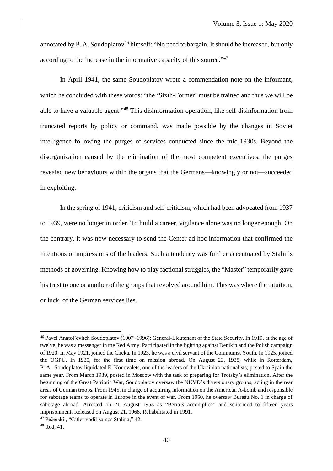annotated by P. A. Soudoplatov<sup>46</sup> himself: "No need to bargain. It should be increased, but only according to the increase in the informative capacity of this source."<sup>47</sup>

In April 1941, the same Soudoplatov wrote a commendation note on the informant, which he concluded with these words: "the 'Sixth-Former' must be trained and thus we will be able to have a valuable agent."<sup>48</sup> This disinformation operation, like self-disinformation from truncated reports by policy or command, was made possible by the changes in Soviet intelligence following the purges of services conducted since the mid-1930s. Beyond the disorganization caused by the elimination of the most competent executives, the purges revealed new behaviours within the organs that the Germans—knowingly or not—succeeded in exploiting.

In the spring of 1941, criticism and self-criticism, which had been advocated from 1937 to 1939, were no longer in order. To build a career, vigilance alone was no longer enough. On the contrary, it was now necessary to send the Center ad hoc information that confirmed the intentions or impressions of the leaders. Such a tendency was further accentuated by Stalin's methods of governing. Knowing how to play factional struggles, the "Master" temporarily gave his trust to one or another of the groups that revolved around him. This was where the intuition, or luck, of the German services lies.

<sup>46</sup> Pavel Anatol'evitch Soudoplatov (1907–1996): General-Lieutenant of the State Security. In 1919, at the age of twelve, he was a messenger in the Red Army. Participated in the fighting against Denikin and the Polish campaign of 1920. In May 1921, joined the Cheka. In 1923, he was a civil servant of the Communist Youth. In 1925, joined the OGPU. In 1935, for the first time on mission abroad. On August 23, 1938, while in Rotterdam, P. A. Soudoplatov liquidated E. Konovalets, one of the leaders of the Ukrainian nationalists; posted to Spain the same year. From March 1939, posted in Moscow with the task of preparing for Trotsky's elimination. After the beginning of the Great Patriotic War, Soudoplatov oversaw the NKVD's diversionary groups, acting in the rear areas of German troops. From 1945, in charge of acquiring information on the American A-bomb and responsible for sabotage teams to operate in Europe in the event of war. From 1950, he oversaw Bureau No. 1 in charge of sabotage abroad. Arrested on 21 August 1953 as "Beria's accomplice" and sentenced to fifteen years imprisonment. Released on August 21, 1968. Rehabilitated in 1991.

<sup>47</sup> Pečerskij, "Gitler vodil za nos Stalina," 42.

<sup>48</sup> Ibid, 41.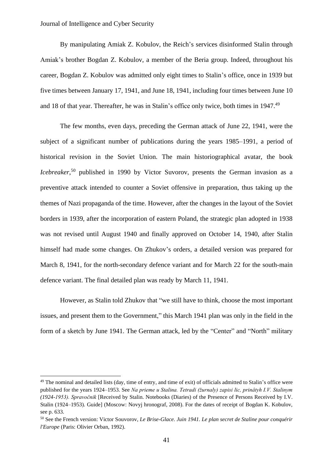### Journal of Intelligence and Cyber Security

By manipulating Amiak Z. Kobulov, the Reich's services disinformed Stalin through Amiak's brother Bogdan Z. Kobulov, a member of the Beria group. Indeed, throughout his career, Bogdan Z. Kobulov was admitted only eight times to Stalin's office, once in 1939 but five times between January 17, 1941, and June 18, 1941, including four times between June 10 and 18 of that year. Thereafter, he was in Stalin's office only twice, both times in 1947.<sup>49</sup>

The few months, even days, preceding the German attack of June 22, 1941, were the subject of a significant number of publications during the years 1985–1991, a period of historical revision in the Soviet Union. The main historiographical avatar, the book *Icebreaker*,<sup>50</sup> published in 1990 by Victor Suvorov, presents the German invasion as a preventive attack intended to counter a Soviet offensive in preparation, thus taking up the themes of Nazi propaganda of the time. However, after the changes in the layout of the Soviet borders in 1939, after the incorporation of eastern Poland, the strategic plan adopted in 1938 was not revised until August 1940 and finally approved on October 14, 1940, after Stalin himself had made some changes. On Zhukov's orders, a detailed version was prepared for March 8, 1941, for the north-secondary defence variant and for March 22 for the south-main defence variant. The final detailed plan was ready by March 11, 1941.

However, as Stalin told Zhukov that "we still have to think, choose the most important issues, and present them to the Government," this March 1941 plan was only in the field in the form of a sketch by June 1941. The German attack, led by the "Center" and "North" military

<sup>&</sup>lt;sup>49</sup> The nominal and detailed lists (day, time of entry, and time of exit) of officials admitted to Stalin's office were published for the years 1924–1953. See *Na prieme u Stalina. Tetradi (žurnaly) zapisi lic, prinâtyh I.V. Stalinym (1924-1953). Spravočnik* [Received by Stalin. Notebooks (Diaries) of the Presence of Persons Received by I.V. Stalin (1924–1953). Guide] (Moscow: Novyj hronograf, 2008). For the dates of receipt of Bogdan K. Kobulov, see p. 633.

<sup>50</sup> See the French version: Victor Souvorov, *Le Brise-Glace. Juin 1941. Le plan secret de Staline pour conquérir l'Europe* (Paris: Olivier Orban, 1992).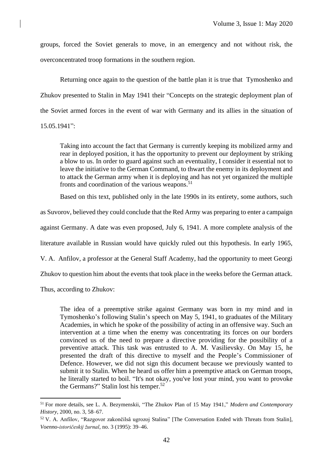groups, forced the Soviet generals to move, in an emergency and not without risk, the overconcentrated troop formations in the southern region.

Returning once again to the question of the battle plan it is true that Tymoshenko and Zhukov presented to Stalin in May 1941 their "Concepts on the strategic deployment plan of the Soviet armed forces in the event of war with Germany and its allies in the situation of 15.05.1941":

Taking into account the fact that Germany is currently keeping its mobilized army and rear in deployed position, it has the opportunity to prevent our deployment by striking a blow to us. In order to guard against such an eventuality, I consider it essential not to leave the initiative to the German Command, to thwart the enemy in its deployment and to attack the German army when it is deploying and has not yet organized the multiple fronts and coordination of the various weapons. 51

Based on this text, published only in the late 1990s in its entirety, some authors, such

as Suvorov, believed they could conclude that the Red Army was preparing to enter a campaign

against Germany. A date was even proposed, July 6, 1941. A more complete analysis of the

literature available in Russian would have quickly ruled out this hypothesis. In early 1965,

V. A. Anfilov, a professor at the General Staff Academy, had the opportunity to meet Georgi

Zhukov to question him about the events that took place in the weeks before the German attack.

Thus, according to Zhukov:

The idea of a preemptive strike against Germany was born in my mind and in Tymoshenko's following Stalin's speech on May 5, 1941, to graduates of the Military Academies, in which he spoke of the possibility of acting in an offensive way. Such an intervention at a time when the enemy was concentrating its forces on our borders convinced us of the need to prepare a directive providing for the possibility of a preventive attack. This task was entrusted to A. M. Vasilievsky. On May 15, he presented the draft of this directive to myself and the People's Commissioner of Defence. However, we did not sign this document because we previously wanted to submit it to Stalin. When he heard us offer him a preemptive attack on German troops, he literally started to boil. "It's not okay, you've lost your mind, you want to provoke the Germans?" Stalin lost his temper. 52

<sup>51</sup> For more details, see L. A. Bezymenskii, "The Zhukov Plan of 15 May 1941," *Modern and Contemporary History*, 2000, no. 3, 58–67.

<sup>52</sup> V. A. Anfilov, "Razgovor zakončilsâ ugrozoj Stalina" [The Conversation Ended with Threats from Stalin], *Voenno-istoričeskij žurnal*, no. 3 (1995): 39–46.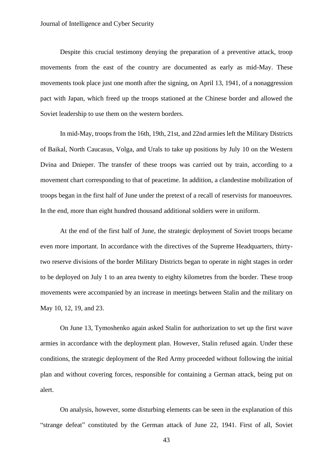Despite this crucial testimony denying the preparation of a preventive attack, troop movements from the east of the country are documented as early as mid-May. These movements took place just one month after the signing, on April 13, 1941, of a nonaggression pact with Japan, which freed up the troops stationed at the Chinese border and allowed the Soviet leadership to use them on the western borders.

In mid-May, troops from the 16th, 19th, 21st, and 22nd armies left the Military Districts of Baikal, North Caucasus, Volga, and Urals to take up positions by July 10 on the Western Dvina and Dnieper. The transfer of these troops was carried out by train, according to a movement chart corresponding to that of peacetime. In addition, a clandestine mobilization of troops began in the first half of June under the pretext of a recall of reservists for manoeuvres. In the end, more than eight hundred thousand additional soldiers were in uniform.

At the end of the first half of June, the strategic deployment of Soviet troops became even more important. In accordance with the directives of the Supreme Headquarters, thirtytwo reserve divisions of the border Military Districts began to operate in night stages in order to be deployed on July 1 to an area twenty to eighty kilometres from the border. These troop movements were accompanied by an increase in meetings between Stalin and the military on May 10, 12, 19, and 23.

On June 13, Tymoshenko again asked Stalin for authorization to set up the first wave armies in accordance with the deployment plan. However, Stalin refused again. Under these conditions, the strategic deployment of the Red Army proceeded without following the initial plan and without covering forces, responsible for containing a German attack, being put on alert.

On analysis, however, some disturbing elements can be seen in the explanation of this "strange defeat" constituted by the German attack of June 22, 1941. First of all, Soviet